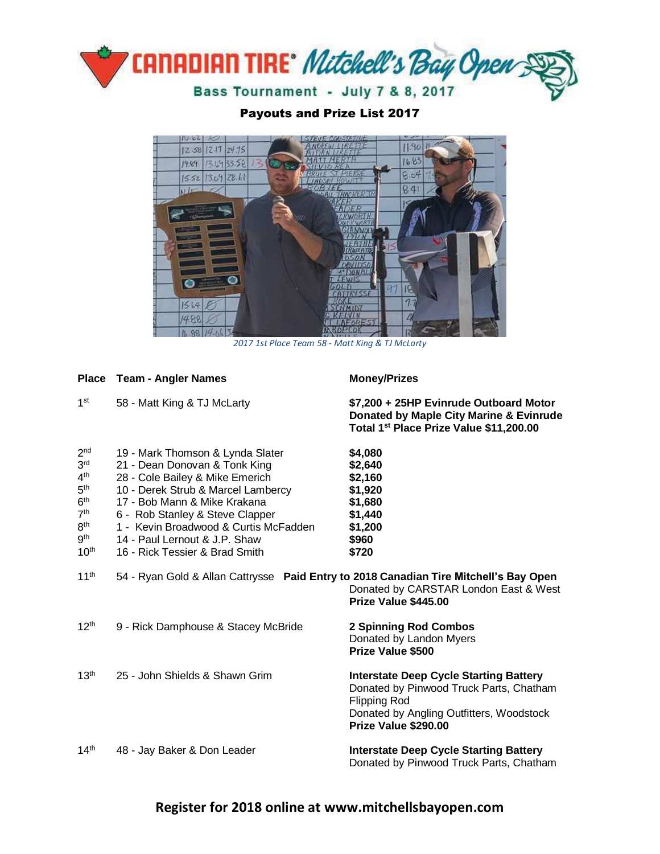

Payouts and Prize List 2017



*2017 1st Place Team 58 - Matt King & TJ McLarty*

|                                                                                                                                                                          | Place Team - Angler Names                                                                                                                                                                                                                                                                                                 | <b>Money/Prizes</b>                                                                                                                                                                 |
|--------------------------------------------------------------------------------------------------------------------------------------------------------------------------|---------------------------------------------------------------------------------------------------------------------------------------------------------------------------------------------------------------------------------------------------------------------------------------------------------------------------|-------------------------------------------------------------------------------------------------------------------------------------------------------------------------------------|
| 1 <sup>st</sup>                                                                                                                                                          | 58 - Matt King & TJ McLarty                                                                                                                                                                                                                                                                                               | \$7,200 + 25HP Evinrude Outboard Motor<br>Donated by Maple City Marine & Evinrude<br>Total 1 <sup>st</sup> Place Prize Value \$11,200.00                                            |
| 2 <sub>nd</sub><br>3 <sup>rd</sup><br>4 <sup>th</sup><br>5 <sup>th</sup><br>6 <sup>th</sup><br>7 <sup>th</sup><br>8 <sup>th</sup><br>9 <sup>th</sup><br>10 <sup>th</sup> | 19 - Mark Thomson & Lynda Slater<br>21 - Dean Donovan & Tonk King<br>28 - Cole Bailey & Mike Emerich<br>10 - Derek Strub & Marcel Lambercy<br>17 - Bob Mann & Mike Krakana<br>6 - Rob Stanley & Steve Clapper<br>1 - Kevin Broadwood & Curtis McFadden<br>14 - Paul Lernout & J.P. Shaw<br>16 - Rick Tessier & Brad Smith | \$4,080<br>\$2,640<br>\$2,160<br>\$1,920<br>\$1,680<br>\$1,440<br>\$1,200<br>\$960<br>\$720                                                                                         |
| $11^{th}$                                                                                                                                                                | 54 - Ryan Gold & Allan Cattrysse Paid Entry to 2018 Canadian Tire Mitchell's Bay Open                                                                                                                                                                                                                                     | Donated by CARSTAR London East & West<br>Prize Value \$445.00                                                                                                                       |
| 12 <sup>th</sup>                                                                                                                                                         | 9 - Rick Damphouse & Stacey McBride                                                                                                                                                                                                                                                                                       | <b>2 Spinning Rod Combos</b><br>Donated by Landon Myers<br>Prize Value \$500                                                                                                        |
| 13 <sup>th</sup>                                                                                                                                                         | 25 - John Shields & Shawn Grim                                                                                                                                                                                                                                                                                            | <b>Interstate Deep Cycle Starting Battery</b><br>Donated by Pinwood Truck Parts, Chatham<br><b>Flipping Rod</b><br>Donated by Angling Outfitters, Woodstock<br>Prize Value \$290.00 |
| 14 <sup>th</sup>                                                                                                                                                         | 48 - Jay Baker & Don Leader                                                                                                                                                                                                                                                                                               | <b>Interstate Deep Cycle Starting Battery</b><br>Donated by Pinwood Truck Parts, Chatham                                                                                            |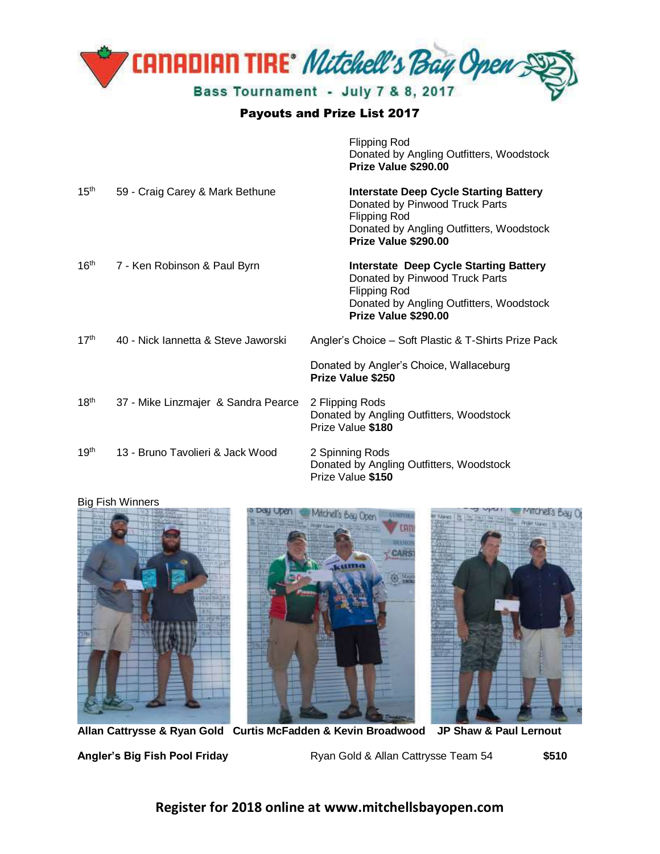

## Payouts and Prize List 2017

Flipping Rod

|                  |                                     | Donated by Angling Outfitters, Woodstock<br>Prize Value \$290.00                                                                                                           |
|------------------|-------------------------------------|----------------------------------------------------------------------------------------------------------------------------------------------------------------------------|
| 15 <sup>th</sup> | 59 - Craig Carey & Mark Bethune     | <b>Interstate Deep Cycle Starting Battery</b><br>Donated by Pinwood Truck Parts<br><b>Flipping Rod</b><br>Donated by Angling Outfitters, Woodstock<br>Prize Value \$290.00 |
| 16 <sup>th</sup> | 7 - Ken Robinson & Paul Byrn        | <b>Interstate Deep Cycle Starting Battery</b><br>Donated by Pinwood Truck Parts<br><b>Flipping Rod</b><br>Donated by Angling Outfitters, Woodstock<br>Prize Value \$290.00 |
| 17 <sup>th</sup> | 40 - Nick Iannetta & Steve Jaworski | Angler's Choice - Soft Plastic & T-Shirts Prize Pack<br>Donated by Angler's Choice, Wallaceburg                                                                            |
|                  |                                     | <b>Prize Value \$250</b>                                                                                                                                                   |
| 18 <sup>th</sup> | 37 - Mike Linzmajer & Sandra Pearce | 2 Flipping Rods<br>Donated by Angling Outfitters, Woodstock<br>Prize Value \$180                                                                                           |
| 19 <sup>th</sup> | 13 - Bruno Tavolieri & Jack Wood    | 2 Spinning Rods<br>Donated by Angling Outfitters, Woodstock<br>Prize Value \$150                                                                                           |

## Big Fish Winners







**Allan Cattrysse & Ryan Gold Curtis McFadden & Kevin Broadwood JP Shaw & Paul Lernout Angler's Big Fish Pool Friday** Ryan Gold & Allan Cattrysse Team 54 **\$510** 

**Register for 2018 online at www.mitchellsbayopen.com**